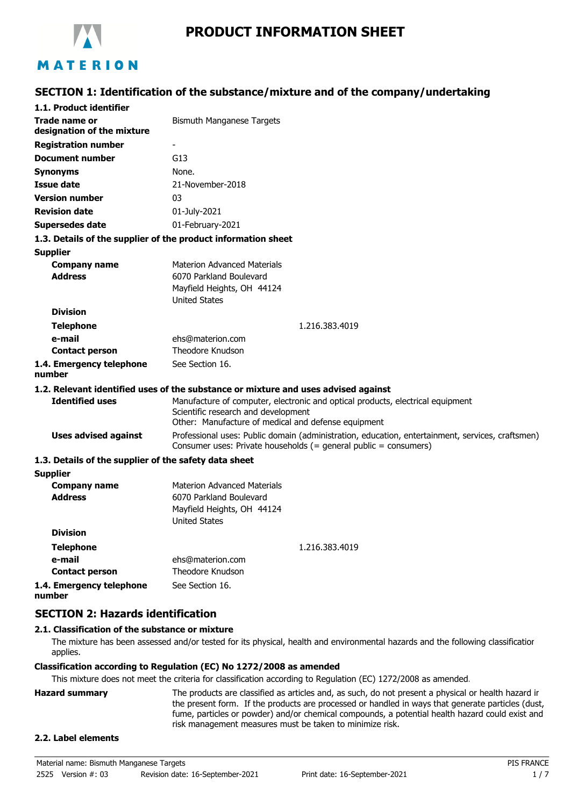

# **PRODUCT INFORMATION SHEET**

# **SECTION 1: Identification of the substance/mixture and of the company/undertaking**

| 1.1. Product identifier                               |                                                                                                                                                                              |
|-------------------------------------------------------|------------------------------------------------------------------------------------------------------------------------------------------------------------------------------|
| Trade name or<br>designation of the mixture           | Bismuth Manganese Targets                                                                                                                                                    |
| <b>Registration number</b>                            |                                                                                                                                                                              |
| <b>Document number</b>                                | G13                                                                                                                                                                          |
| <b>Synonyms</b>                                       | None.                                                                                                                                                                        |
| <b>Issue date</b>                                     | 21-November-2018                                                                                                                                                             |
| <b>Version number</b>                                 | 03                                                                                                                                                                           |
| <b>Revision date</b>                                  | 01-July-2021                                                                                                                                                                 |
| Supersedes date                                       | 01-February-2021                                                                                                                                                             |
|                                                       | 1.3. Details of the supplier of the product information sheet                                                                                                                |
| <b>Supplier</b>                                       |                                                                                                                                                                              |
| <b>Company name</b>                                   | <b>Materion Advanced Materials</b>                                                                                                                                           |
| <b>Address</b>                                        | 6070 Parkland Boulevard                                                                                                                                                      |
|                                                       | Mayfield Heights, OH 44124                                                                                                                                                   |
|                                                       | <b>United States</b>                                                                                                                                                         |
| <b>Division</b>                                       |                                                                                                                                                                              |
| <b>Telephone</b>                                      | 1.216.383.4019                                                                                                                                                               |
| e-mail                                                | ehs@materion.com<br>Theodore Knudson                                                                                                                                         |
| <b>Contact person</b>                                 |                                                                                                                                                                              |
| 1.4. Emergency telephone<br>number                    | See Section 16.                                                                                                                                                              |
|                                                       | 1.2. Relevant identified uses of the substance or mixture and uses advised against                                                                                           |
| <b>Identified uses</b>                                | Manufacture of computer, electronic and optical products, electrical equipment<br>Scientific research and development<br>Other: Manufacture of medical and defense equipment |
| <b>Uses advised against</b>                           | Professional uses: Public domain (administration, education, entertainment, services, craftsmen)<br>Consumer uses: Private households (= general public = consumers)         |
| 1.3. Details of the supplier of the safety data sheet |                                                                                                                                                                              |
| <b>Supplier</b>                                       |                                                                                                                                                                              |
| <b>Company name</b>                                   | <b>Materion Advanced Materials</b>                                                                                                                                           |
| <b>Address</b>                                        | 6070 Parkland Boulevard                                                                                                                                                      |
|                                                       | Mayfield Heights, OH 44124<br><b>United States</b>                                                                                                                           |
| <b>Division</b>                                       |                                                                                                                                                                              |
| <b>Telephone</b>                                      | 1.216.383.4019                                                                                                                                                               |
| e-mail                                                | ehs@materion.com                                                                                                                                                             |
| <b>Contact person</b>                                 | Theodore Knudson                                                                                                                                                             |
| 1.4. Emergency telephone                              | See Section 16.                                                                                                                                                              |
| number                                                |                                                                                                                                                                              |

**SECTION 2: Hazards identification**

### **2.1. Classification of the substance or mixture**

The mixture has been assessed and/or tested for its physical, health and environmental hazards and the following classification applies.

#### **Classification according to Regulation (EC) No 1272/2008 as amended**

This mixture does not meet the criteria for classification according to Regulation (EC) 1272/2008 as amended.

**Hazard summary** The products are classified as articles and, as such, do not present a physical or health hazard in the present form. If the products are processed or handled in ways that generate particles (dust, fume, particles or powder) and/or chemical compounds, a potential health hazard could exist and risk management measures must be taken to minimize risk.

#### **2.2. Label elements**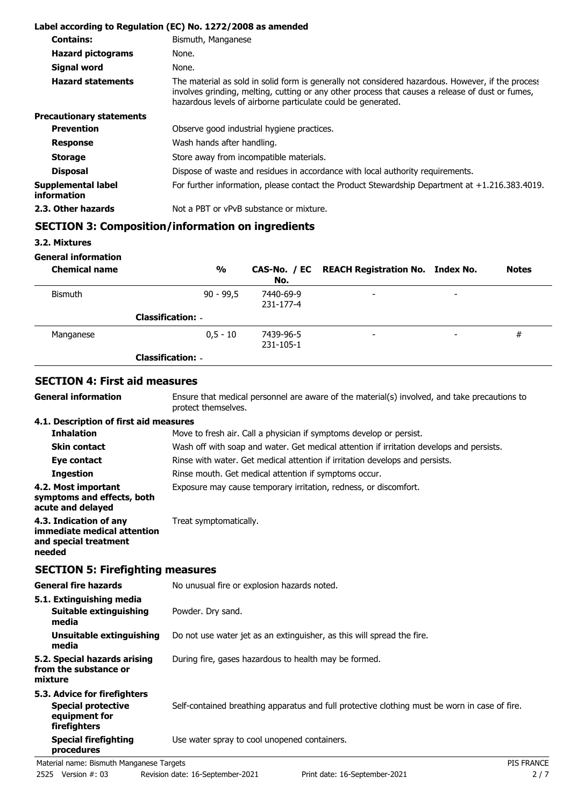|                                          | Label according to Regulation (EC) No. 1272/2008 as amended                                                                                                                                                                                                           |
|------------------------------------------|-----------------------------------------------------------------------------------------------------------------------------------------------------------------------------------------------------------------------------------------------------------------------|
| <b>Contains:</b>                         | Bismuth, Manganese                                                                                                                                                                                                                                                    |
| <b>Hazard pictograms</b>                 | None.                                                                                                                                                                                                                                                                 |
| Signal word                              | None.                                                                                                                                                                                                                                                                 |
| <b>Hazard statements</b>                 | The material as sold in solid form is generally not considered hazardous. However, if the process<br>involves grinding, melting, cutting or any other process that causes a release of dust or fumes,<br>hazardous levels of airborne particulate could be generated. |
| <b>Precautionary statements</b>          |                                                                                                                                                                                                                                                                       |
| <b>Prevention</b>                        | Observe good industrial hygiene practices.                                                                                                                                                                                                                            |
| <b>Response</b>                          | Wash hands after handling.                                                                                                                                                                                                                                            |
| <b>Storage</b>                           | Store away from incompatible materials.                                                                                                                                                                                                                               |
| <b>Disposal</b>                          | Dispose of waste and residues in accordance with local authority requirements.                                                                                                                                                                                        |
| Supplemental label<br><i>information</i> | For further information, please contact the Product Stewardship Department at $+1.216.383.4019$ .                                                                                                                                                                     |
| 2.3. Other hazards                       | Not a PBT or vPvB substance or mixture.                                                                                                                                                                                                                               |

### **SECTION 3: Composition/information on ingredients**

**3.2. Mixtures**

**General information**

**General information**

| <b>Chemical name</b> | $\frac{0}{0}$            | No.                    | CAS-No. / EC REACH Registration No. Index No. |                          | <b>Notes</b> |
|----------------------|--------------------------|------------------------|-----------------------------------------------|--------------------------|--------------|
| <b>Bismuth</b>       | $90 - 99,5$              | 7440-69-9<br>231-177-4 | $\overline{\phantom{a}}$                      | $\overline{\phantom{a}}$ |              |
|                      | <b>Classification: -</b> |                        |                                               |                          |              |
| Manganese            | $0.5 - 10$               | 7439-96-5<br>231-105-1 | $\overline{\phantom{a}}$                      |                          | #            |
|                      | <b>Classification: -</b> |                        |                                               |                          |              |

### **SECTION 4: First aid measures**

Ensure that medical personnel are aware of the material(s) involved, and take precautions to protect themselves.

#### **4.1. Description of first aid measures**

| <b>Inhalation</b>                                                              | Move to fresh air. Call a physician if symptoms develop or persist.                      |
|--------------------------------------------------------------------------------|------------------------------------------------------------------------------------------|
| <b>Skin contact</b>                                                            | Wash off with soap and water. Get medical attention if irritation develops and persists. |
| Eye contact                                                                    | Rinse with water. Get medical attention if irritation develops and persists.             |
| <b>Ingestion</b>                                                               | Rinse mouth. Get medical attention if symptoms occur.                                    |
| 4.2. Most important<br>symptoms and effects, both<br>acute and delayed         | Exposure may cause temporary irritation, redness, or discomfort.                         |
| 4.3. Indication of any<br>immediate medical attention<br>and special treatment | Treat symptomatically.                                                                   |

**needed**

**SECTION 5: Firefighting measures**

| <b>General fire hazards</b>                                                                | No unusual fire or explosion hazards noted.                                                   |  |
|--------------------------------------------------------------------------------------------|-----------------------------------------------------------------------------------------------|--|
| 5.1. Extinguishing media<br>Suitable extinguishing<br>media                                | Powder. Dry sand.                                                                             |  |
| Unsuitable extinguishing<br>media                                                          | Do not use water jet as an extinguisher, as this will spread the fire.                        |  |
| 5.2. Special hazards arising<br>from the substance or<br>mixture                           | During fire, gases hazardous to health may be formed.                                         |  |
| 5.3. Advice for firefighters<br><b>Special protective</b><br>equipment for<br>firefighters | Self-contained breathing apparatus and full protective clothing must be worn in case of fire. |  |
| <b>Special firefighting</b><br>procedures                                                  | Use water spray to cool unopened containers.                                                  |  |
| Material name: Bismuth Manganese Targets                                                   | <b>PIS FRANCE</b>                                                                             |  |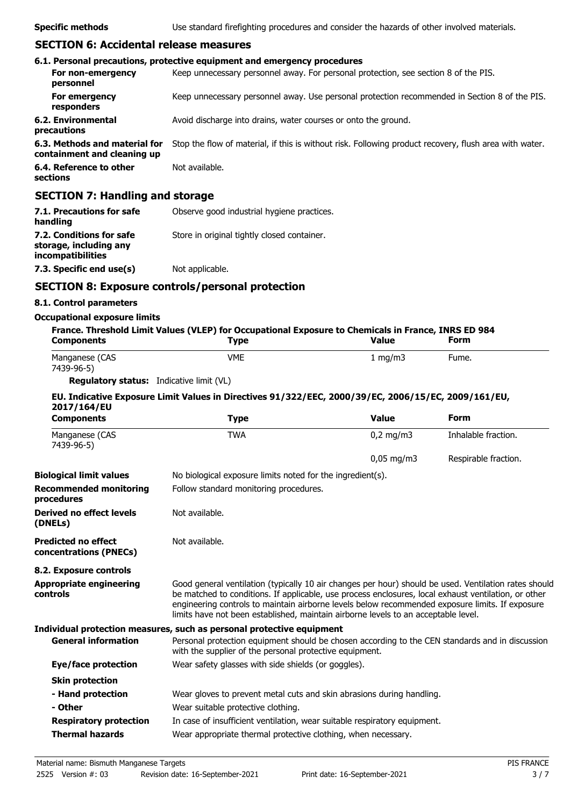**Specific methods** Use standard firefighting procedures and consider the hazards of other involved materials.

### **SECTION 6: Accidental release measures**

|                                                              | 6.1. Personal precautions, protective equipment and emergency procedures                               |
|--------------------------------------------------------------|--------------------------------------------------------------------------------------------------------|
| For non-emergency<br>personnel                               | Keep unnecessary personnel away. For personal protection, see section 8 of the PIS.                    |
| For emergency<br>responders                                  | Keep unnecessary personnel away. Use personal protection recommended in Section 8 of the PIS.          |
| 6.2. Environmental<br>precautions                            | Avoid discharge into drains, water courses or onto the ground.                                         |
| 6.3. Methods and material for<br>containment and cleaning up | Stop the flow of material, if this is without risk. Following product recovery, flush area with water. |
| 6.4. Reference to other<br>sections                          | Not available.                                                                                         |
| <b>SECTION 7: Handling and storage</b>                       |                                                                                                        |

| 7.1. Precautions for safe<br>handling                                   | Observe good industrial hygiene practices.  |
|-------------------------------------------------------------------------|---------------------------------------------|
| 7.2. Conditions for safe<br>storage, including any<br>incompatibilities | Store in original tightly closed container. |
| 7.3. Specific end use(s)                                                | Not applicable.                             |

# **SECTION 8: Exposure controls/personal protection**

### **8.1. Control parameters**

#### **Occupational exposure limits**

| France. Threshold Limit Values (VLEP) for Occupational Exposure to Chemicals in France, INRS ED 984 |             |                  |       |
|-----------------------------------------------------------------------------------------------------|-------------|------------------|-------|
| <b>Components</b>                                                                                   | <b>Type</b> | <b>Value</b>     | Form  |
| Manganese (CAS<br>7439-96-5)                                                                        | <b>VME</b>  | $1 \text{ ma/m}$ | Fume. |

**Regulatory status:** Indicative limit (VL)

### **EU. Indicative Exposure Limit Values in Directives 91/322/EEC, 2000/39/EC, 2006/15/EC, 2009/161/EU, 2017/164/EU**

| <b>Type</b>                            | <b>Value</b>           | <b>Form</b>                                                                                                                                                                                                                                                                                                                                                                                                                                                                                                                                                                                                                                                                                                                                                                                                                                                                                                                                                                               |
|----------------------------------------|------------------------|-------------------------------------------------------------------------------------------------------------------------------------------------------------------------------------------------------------------------------------------------------------------------------------------------------------------------------------------------------------------------------------------------------------------------------------------------------------------------------------------------------------------------------------------------------------------------------------------------------------------------------------------------------------------------------------------------------------------------------------------------------------------------------------------------------------------------------------------------------------------------------------------------------------------------------------------------------------------------------------------|
| <b>TWA</b>                             | $0,2$ mg/m3            | Inhalable fraction.                                                                                                                                                                                                                                                                                                                                                                                                                                                                                                                                                                                                                                                                                                                                                                                                                                                                                                                                                                       |
|                                        | $0,05 \,\mathrm{mg/m}$ | Respirable fraction.                                                                                                                                                                                                                                                                                                                                                                                                                                                                                                                                                                                                                                                                                                                                                                                                                                                                                                                                                                      |
|                                        |                        |                                                                                                                                                                                                                                                                                                                                                                                                                                                                                                                                                                                                                                                                                                                                                                                                                                                                                                                                                                                           |
| Follow standard monitoring procedures. |                        |                                                                                                                                                                                                                                                                                                                                                                                                                                                                                                                                                                                                                                                                                                                                                                                                                                                                                                                                                                                           |
| Not available.                         |                        |                                                                                                                                                                                                                                                                                                                                                                                                                                                                                                                                                                                                                                                                                                                                                                                                                                                                                                                                                                                           |
| Not available.                         |                        |                                                                                                                                                                                                                                                                                                                                                                                                                                                                                                                                                                                                                                                                                                                                                                                                                                                                                                                                                                                           |
|                                        |                        |                                                                                                                                                                                                                                                                                                                                                                                                                                                                                                                                                                                                                                                                                                                                                                                                                                                                                                                                                                                           |
|                                        |                        |                                                                                                                                                                                                                                                                                                                                                                                                                                                                                                                                                                                                                                                                                                                                                                                                                                                                                                                                                                                           |
|                                        |                        |                                                                                                                                                                                                                                                                                                                                                                                                                                                                                                                                                                                                                                                                                                                                                                                                                                                                                                                                                                                           |
|                                        |                        |                                                                                                                                                                                                                                                                                                                                                                                                                                                                                                                                                                                                                                                                                                                                                                                                                                                                                                                                                                                           |
|                                        |                        |                                                                                                                                                                                                                                                                                                                                                                                                                                                                                                                                                                                                                                                                                                                                                                                                                                                                                                                                                                                           |
|                                        |                        |                                                                                                                                                                                                                                                                                                                                                                                                                                                                                                                                                                                                                                                                                                                                                                                                                                                                                                                                                                                           |
|                                        |                        |                                                                                                                                                                                                                                                                                                                                                                                                                                                                                                                                                                                                                                                                                                                                                                                                                                                                                                                                                                                           |
| Wear suitable protective clothing.     |                        |                                                                                                                                                                                                                                                                                                                                                                                                                                                                                                                                                                                                                                                                                                                                                                                                                                                                                                                                                                                           |
|                                        |                        |                                                                                                                                                                                                                                                                                                                                                                                                                                                                                                                                                                                                                                                                                                                                                                                                                                                                                                                                                                                           |
|                                        |                        |                                                                                                                                                                                                                                                                                                                                                                                                                                                                                                                                                                                                                                                                                                                                                                                                                                                                                                                                                                                           |
|                                        |                        | No biological exposure limits noted for the ingredient(s).<br>Good general ventilation (typically 10 air changes per hour) should be used. Ventilation rates should<br>be matched to conditions. If applicable, use process enclosures, local exhaust ventilation, or other<br>engineering controls to maintain airborne levels below recommended exposure limits. If exposure<br>limits have not been established, maintain airborne levels to an acceptable level.<br>Individual protection measures, such as personal protective equipment<br>Personal protection equipment should be chosen according to the CEN standards and in discussion<br>with the supplier of the personal protective equipment.<br>Wear safety glasses with side shields (or goggles).<br>Wear gloves to prevent metal cuts and skin abrasions during handling.<br>In case of insufficient ventilation, wear suitable respiratory equipment.<br>Wear appropriate thermal protective clothing, when necessary. |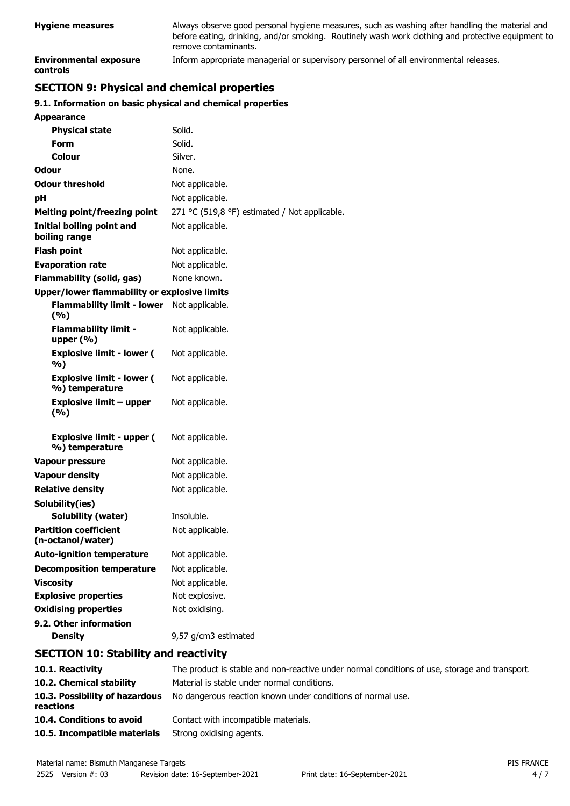| <b>Hygiene measures</b>                          | Always observe good personal hygiene measures, such as washing after handling the material and<br>before eating, drinking, and/or smoking. Routinely wash work clothing and protective equipment to<br>remove contaminants. |
|--------------------------------------------------|-----------------------------------------------------------------------------------------------------------------------------------------------------------------------------------------------------------------------------|
| <b>Environmental exposure</b><br><b>controls</b> | Inform appropriate managerial or supervisory personnel of all environmental releases.                                                                                                                                       |

# **SECTION 9: Physical and chemical properties**

### **9.1. Information on basic physical and chemical properties**

| <b>Appearance</b>                                   |                                               |
|-----------------------------------------------------|-----------------------------------------------|
| <b>Physical state</b>                               | Solid.                                        |
| Form                                                | Solid.                                        |
| Colour                                              | Silver.                                       |
| Odour                                               | None.                                         |
| <b>Odour threshold</b>                              | Not applicable.                               |
| рH                                                  | Not applicable.                               |
| <b>Melting point/freezing point</b>                 | 271 °C (519,8 °F) estimated / Not applicable. |
| <b>Initial boiling point and</b><br>boiling range   | Not applicable.                               |
| <b>Flash point</b>                                  | Not applicable.                               |
| <b>Evaporation rate</b>                             | Not applicable.                               |
| <b>Flammability (solid, gas)</b>                    | None known.                                   |
| <b>Upper/lower flammability or explosive limits</b> |                                               |
| <b>Flammability limit - lower</b><br>(%)            | Not applicable.                               |
| <b>Flammability limit -</b><br>upper $(% )$         | Not applicable.                               |
| <b>Explosive limit - lower (</b><br>%)              | Not applicable.                               |
| <b>Explosive limit - lower (</b><br>%) temperature  | Not applicable.                               |
| <b>Explosive limit - upper</b><br>(%)               | Not applicable.                               |
| <b>Explosive limit - upper (</b><br>%) temperature  | Not applicable.                               |
| <b>Vapour pressure</b>                              | Not applicable.                               |
| <b>Vapour density</b>                               | Not applicable.                               |
| <b>Relative density</b>                             | Not applicable.                               |
| Solubility(ies)                                     |                                               |
| <b>Solubility (water)</b>                           | Insoluble.                                    |
| <b>Partition coefficient</b><br>(n-octanol/water)   | Not applicable.                               |
| <b>Auto-ignition temperature</b>                    | Not applicable.                               |
| <b>Decomposition temperature</b>                    | Not applicable.                               |
| <b>Viscosity</b>                                    | Not applicable.                               |
| <b>Explosive properties</b>                         | Not explosive.                                |
| <b>Oxidising properties</b>                         | Not oxidising.                                |
| 9.2. Other information                              |                                               |
| <b>Density</b>                                      | 9,57 g/cm3 estimated                          |
| <b>SECTION 10: Stability and reactivity</b>         |                                               |
| $10.1$ Dooctivity                                   | The product is stable and non-reastive under  |

| 10.1. Reactivity                            | The product is stable and non-reactive under normal conditions of use, storage and transport. |
|---------------------------------------------|-----------------------------------------------------------------------------------------------|
| 10.2. Chemical stability                    | Material is stable under normal conditions.                                                   |
| 10.3. Possibility of hazardous<br>reactions | No dangerous reaction known under conditions of normal use.                                   |
| 10.4. Conditions to avoid                   | Contact with incompatible materials.                                                          |
| 10.5. Incompatible materials                | Strong oxidising agents.                                                                      |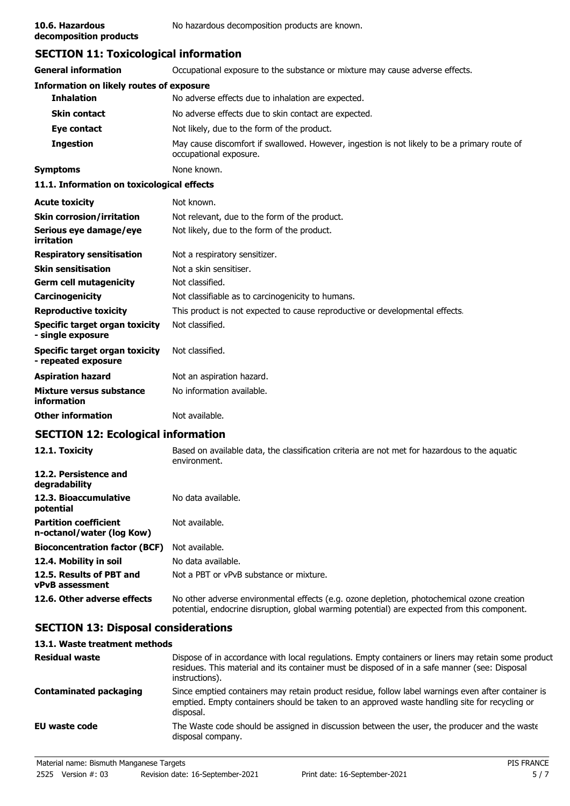**decomposition products**

# **SECTION 11: Toxicological information**

| <b>General information</b>                                 | Occupational exposure to the substance or mixture may cause adverse effects.                                           |  |  |
|------------------------------------------------------------|------------------------------------------------------------------------------------------------------------------------|--|--|
| Information on likely routes of exposure                   |                                                                                                                        |  |  |
| <b>Inhalation</b>                                          | No adverse effects due to inhalation are expected.                                                                     |  |  |
| <b>Skin contact</b>                                        | No adverse effects due to skin contact are expected.                                                                   |  |  |
| Eye contact                                                | Not likely, due to the form of the product.                                                                            |  |  |
| <b>Ingestion</b>                                           | May cause discomfort if swallowed. However, ingestion is not likely to be a primary route of<br>occupational exposure. |  |  |
| <b>Symptoms</b>                                            | None known.                                                                                                            |  |  |
| 11.1. Information on toxicological effects                 |                                                                                                                        |  |  |
| <b>Acute toxicity</b>                                      | Not known.                                                                                                             |  |  |
| <b>Skin corrosion/irritation</b>                           | Not relevant, due to the form of the product.                                                                          |  |  |
| Serious eye damage/eye<br>irritation                       | Not likely, due to the form of the product.                                                                            |  |  |
| <b>Respiratory sensitisation</b>                           | Not a respiratory sensitizer.                                                                                          |  |  |
| <b>Skin sensitisation</b>                                  | Not a skin sensitiser.                                                                                                 |  |  |
| <b>Germ cell mutagenicity</b>                              | Not classified.                                                                                                        |  |  |
| Carcinogenicity                                            | Not classifiable as to carcinogenicity to humans.                                                                      |  |  |
| <b>Reproductive toxicity</b>                               | This product is not expected to cause reproductive or developmental effects.                                           |  |  |
| <b>Specific target organ toxicity</b><br>- single exposure | Not classified.                                                                                                        |  |  |
| Specific target organ toxicity<br>- repeated exposure      | Not classified.                                                                                                        |  |  |
| <b>Aspiration hazard</b>                                   | Not an aspiration hazard.                                                                                              |  |  |
| Mixture versus substance<br>information                    | No information available.                                                                                              |  |  |
| <b>Other information</b>                                   | Not available.                                                                                                         |  |  |
| CECTION 12. Esslazioni informatio                          |                                                                                                                        |  |  |

### **SECTION 12: Ecological information**

| 12.1. Toxicity                                            | Based on available data, the classification criteria are not met for hazardous to the aquatic<br>environment.                                                                              |
|-----------------------------------------------------------|--------------------------------------------------------------------------------------------------------------------------------------------------------------------------------------------|
| 12.2. Persistence and<br>degradability                    |                                                                                                                                                                                            |
| 12.3. Bioaccumulative<br>potential                        | No data available.                                                                                                                                                                         |
| <b>Partition coefficient</b><br>n-octanol/water (log Kow) | Not available.                                                                                                                                                                             |
| <b>Bioconcentration factor (BCF)</b>                      | Not available.                                                                                                                                                                             |
| 12.4. Mobility in soil                                    | No data available.                                                                                                                                                                         |
| 12.5. Results of PBT and<br><b>vPvB</b> assessment        | Not a PBT or vPvB substance or mixture.                                                                                                                                                    |
| 12.6. Other adverse effects                               | No other adverse environmental effects (e.g. ozone depletion, photochemical ozone creation<br>potential, endocrine disruption, global warming potential) are expected from this component. |

## **SECTION 13: Disposal considerations**

## **13.1. Waste treatment methods**

| <b>Residual waste</b>         | Dispose of in accordance with local regulations. Empty containers or liners may retain some product<br>residues. This material and its container must be disposed of in a safe manner (see: Disposal<br>instructions). |
|-------------------------------|------------------------------------------------------------------------------------------------------------------------------------------------------------------------------------------------------------------------|
| <b>Contaminated packaging</b> | Since emptied containers may retain product residue, follow label warnings even after container is<br>emptied. Empty containers should be taken to an approved waste handling site for recycling or<br>disposal.       |
| EU waste code                 | The Waste code should be assigned in discussion between the user, the producer and the waste<br>disposal company.                                                                                                      |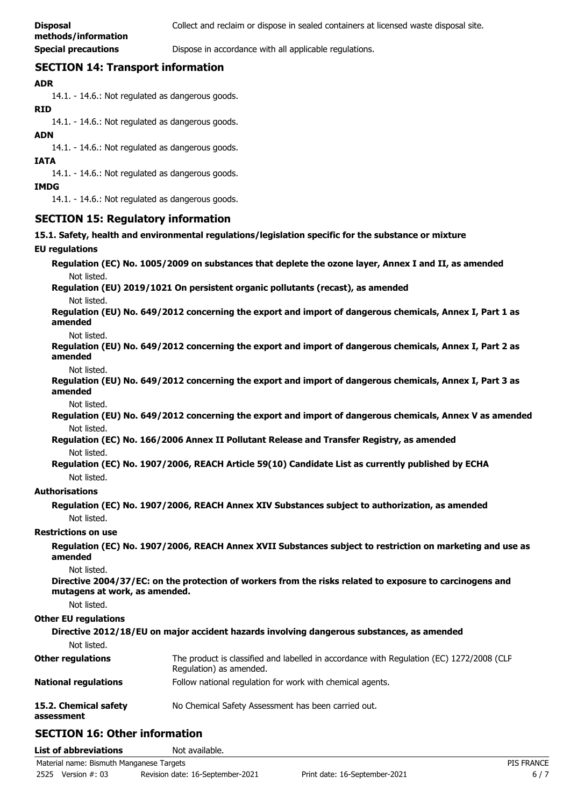**Special precautions Dispose in accordance with all applicable regulations.** 

### **SECTION 14: Transport information**

### **ADR**

14.1. - 14.6.: Not regulated as dangerous goods.

#### **RID**

14.1. - 14.6.: Not regulated as dangerous goods.

### **ADN**

14.1. - 14.6.: Not regulated as dangerous goods.

#### **IATA**

14.1. - 14.6.: Not regulated as dangerous goods.

#### **IMDG**

14.1. - 14.6.: Not regulated as dangerous goods.

### **SECTION 15: Regulatory information**

**15.1. Safety, health and environmental regulations/legislation specific for the substance or mixture**

#### **EU regulations**

**Regulation (EC) No. 1005/2009 on substances that deplete the ozone layer, Annex I and II, as amended** Not listed.

**Regulation (EU) 2019/1021 On persistent organic pollutants (recast), as amended**

Not listed.

**Regulation (EU) No. 649/2012 concerning the export and import of dangerous chemicals, Annex I, Part 1 as amended**

#### Not listed.

**Regulation (EU) No. 649/2012 concerning the export and import of dangerous chemicals, Annex I, Part 2 as amended**

Not listed.

**Regulation (EU) No. 649/2012 concerning the export and import of dangerous chemicals, Annex I, Part 3 as amended**

Not listed.

**Regulation (EU) No. 649/2012 concerning the export and import of dangerous chemicals, Annex V as amended** Not listed.

**Regulation (EC) No. 166/2006 Annex II Pollutant Release and Transfer Registry, as amended** Not listed.

**Regulation (EC) No. 1907/2006, REACH Article 59(10) Candidate List as currently published by ECHA** Not listed.

### **Authorisations**

**Regulation (EC) No. 1907/2006, REACH Annex XIV Substances subject to authorization, as amended** Not listed.

### **Restrictions on use**

**Regulation (EC) No. 1907/2006, REACH Annex XVII Substances subject to restriction on marketing and use as amended**

Not listed.

**Directive 2004/37/EC: on the protection of workers from the risks related to exposure to carcinogens and mutagens at work, as amended.**

Not listed.

### **Other EU regulations**

| Directive 2012/18/EU on major accident hazards involving dangerous substances, as amended |                                                                                                                     |  |  |
|-------------------------------------------------------------------------------------------|---------------------------------------------------------------------------------------------------------------------|--|--|
| Not listed.                                                                               |                                                                                                                     |  |  |
| <b>Other regulations</b>                                                                  | The product is classified and labelled in accordance with Regulation (EC) 1272/2008 (CLP<br>Regulation) as amended. |  |  |
| <b>National regulations</b>                                                               | Follow national regulation for work with chemical agents.                                                           |  |  |
| 15.2. Chemical safety<br>assessment                                                       | No Chemical Safety Assessment has been carried out.                                                                 |  |  |

### **SECTION 16: Other information**

| <b>List of abbreviations</b>             | Not available.                   |                               |                   |
|------------------------------------------|----------------------------------|-------------------------------|-------------------|
| Material name: Bismuth Manganese Targets |                                  |                               | <b>PIS FRANCE</b> |
| 2525 Version #: 03                       | Revision date: 16-September-2021 | Print date: 16-September-2021 |                   |